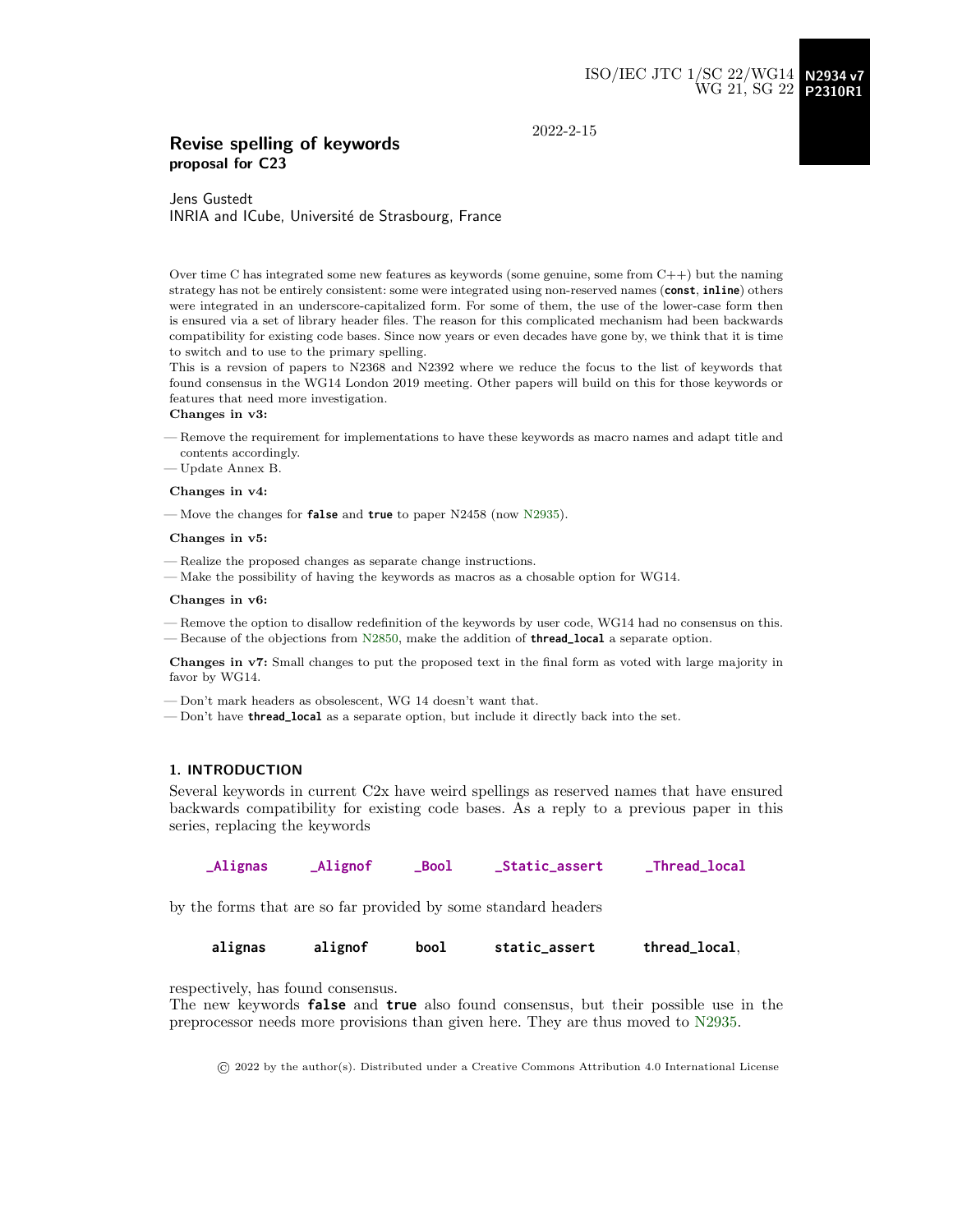2022-2-15

# Revise spelling of keywords proposal for C23

Jens Gustedt INRIA and ICube, Université de Strasbourg, France

Over time C has integrated some new features as keywords (some genuine, some from  $C++$ ) but the naming strategy has not be entirely consistent: some were integrated using non-reserved names (**const**, **inline**) others were integrated in an underscore-capitalized form. For some of them, the use of the lower-case form then is ensured via a set of library header files. The reason for this complicated mechanism had been backwards compatibility for existing code bases. Since now years or even decades have gone by, we think that it is time to switch and to use to the primary spelling.

This is a revsion of papers to N2368 and N2392 where we reduce the focus to the list of keywords that found consensus in the WG14 London 2019 meeting. Other papers will build on this for those keywords or features that need more investigation.

#### Changes in v3:

- Remove the requirement for implementations to have these keywords as macro names and adapt title and contents accordingly.
- Update Annex B.

#### Changes in v4:

— Move the changes for **false** and **true** to paper N2458 (now [N2935\)](http://www.open-std.org/jtc1/sc22/wg14/www/docs/n2935.pdf).

#### Changes in v5:

- Realize the proposed changes as separate change instructions.
- Make the possibility of having the keywords as macros as a chosable option for WG14.

#### Changes in v6:

— Remove the option to disallow redefinition of the keywords by user code, WG14 had no consensus on this. — Because of the objections from [N2850,](http://www.open-std.org/jtc1/sc22/wg14/www/docs/n2850.pdf) make the addition of **thread\_local** a separate option.

Changes in v7: Small changes to put the proposed text in the final form as voted with large majority in favor by WG14.

— Don't mark headers as obsolescent, WG 14 doesn't want that.

— Don't have **thread\_local** as a separate option, but include it directly back into the set.

#### 1. INTRODUCTION

Several keywords in current C2x have weird spellings as reserved names that have ensured backwards compatibility for existing code bases. As a reply to a previous paper in this series, replacing the keywords

**\_Alignas \_Alignof \_Bool \_Static\_assert \_Thread\_local**

by the forms that are so far provided by some standard headers

**alignas alignof bool static\_assert thread\_local**,

respectively, has found consensus.

The new keywords **false** and **true** also found consensus, but their possible use in the preprocessor needs more provisions than given here. They are thus moved to [N2935.](http://www.open-std.org/jtc1/sc22/wg14/www/docs/n2935.pdf)

© 2022 by the author(s). Distributed under a Creative Commons Attribution 4.0 International License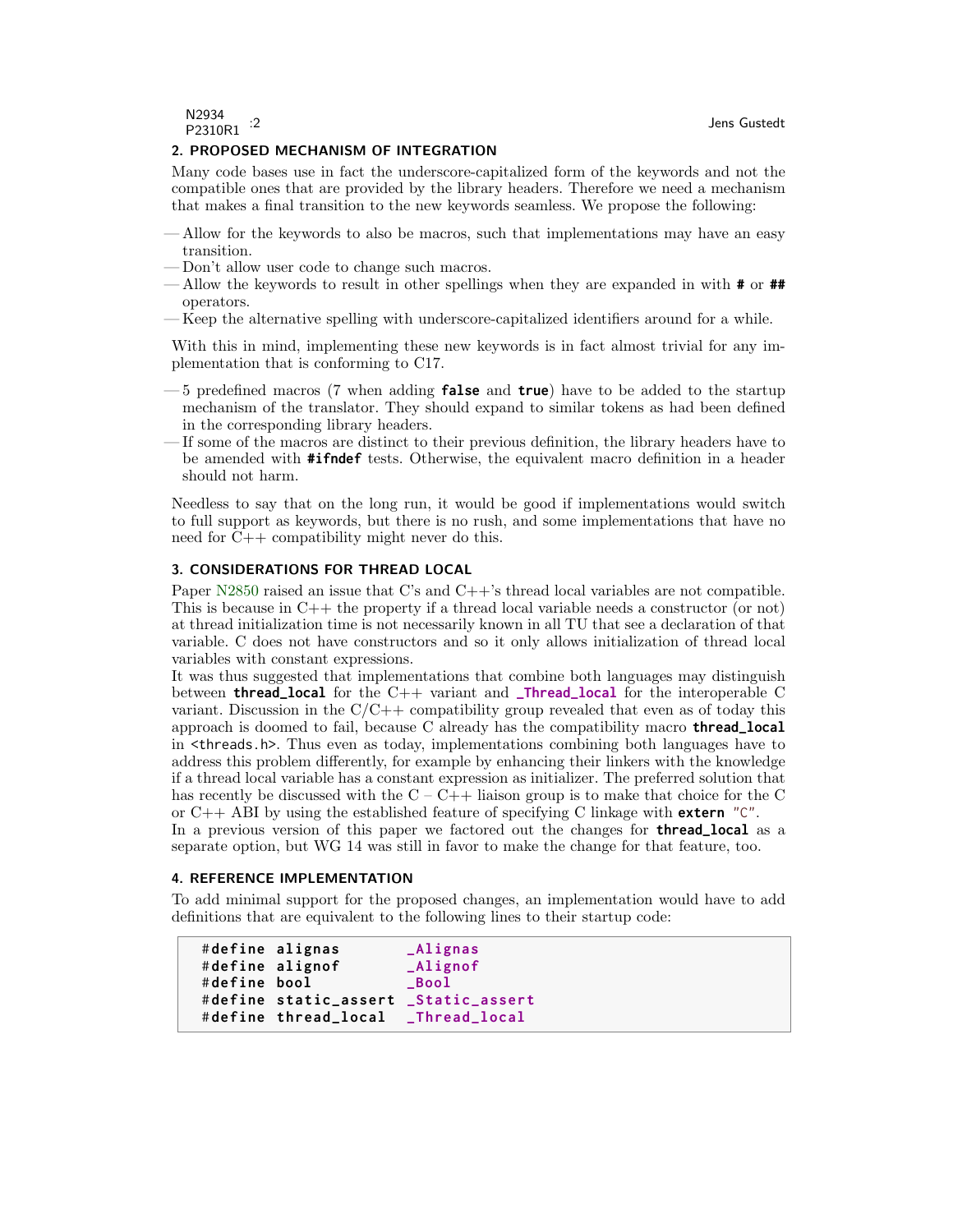N2934  $P2310R1$  :2 Jens Gustedt P2310R1 :2

# 2. PROPOSED MECHANISM OF INTEGRATION

Many code bases use in fact the underscore-capitalized form of the keywords and not the compatible ones that are provided by the library headers. Therefore we need a mechanism that makes a final transition to the new keywords seamless. We propose the following:

- Allow for the keywords to also be macros, such that implementations may have an easy transition.
- Don't allow user code to change such macros.
- Allow the keywords to result in other spellings when they are expanded in with **#** or **##** operators.
- Keep the alternative spelling with underscore-capitalized identifiers around for a while.

With this in mind, implementing these new keywords is in fact almost trivial for any implementation that is conforming to C17.

- 5 predefined macros (7 when adding **false** and **true**) have to be added to the startup mechanism of the translator. They should expand to similar tokens as had been defined in the corresponding library headers.
- If some of the macros are distinct to their previous definition, the library headers have to be amended with **#ifndef** tests. Otherwise, the equivalent macro definition in a header should not harm.

Needless to say that on the long run, it would be good if implementations would switch to full support as keywords, but there is no rush, and some implementations that have no need for C++ compatibility might never do this.

## 3. CONSIDERATIONS FOR THREAD LOCAL

Paper [N2850](http://www.open-std.org/jtc1/sc22/wg14/www/docs/n2850.pdf) raised an issue that C's and C++'s thread local variables are not compatible. This is because in C++ the property if a thread local variable needs a constructor (or not) at thread initialization time is not necessarily known in all TU that see a declaration of that variable. C does not have constructors and so it only allows initialization of thread local variables with constant expressions.

It was thus suggested that implementations that combine both languages may distinguish between **thread\_local** for the C++ variant and **\_Thread\_local** for the interoperable C variant. Discussion in the  $C/C++$  compatibility group revealed that even as of today this approach is doomed to fail, because C already has the compatibility macro **thread\_local** in <threads.h>. Thus even as today, implementations combining both languages have to address this problem differently, for example by enhancing their linkers with the knowledge if a thread local variable has a constant expression as initializer. The preferred solution that has recently be discussed with the  $C - C$  + liaison group is to make that choice for the C or C++ ABI by using the established feature of specifying C linkage with **extern** "C". In a previous version of this paper we factored out the changes for **thread\_local** as a

separate option, but WG 14 was still in favor to make the change for that feature, too.

#### 4. REFERENCE IMPLEMENTATION

To add minimal support for the proposed changes, an implementation would have to add definitions that are equivalent to the following lines to their startup code:

```
# define alignas _Alignas
# define alignof _Alignof
# define bool _Bool
# define static_assert _Static_assert
# define thread_local _Thread_local
```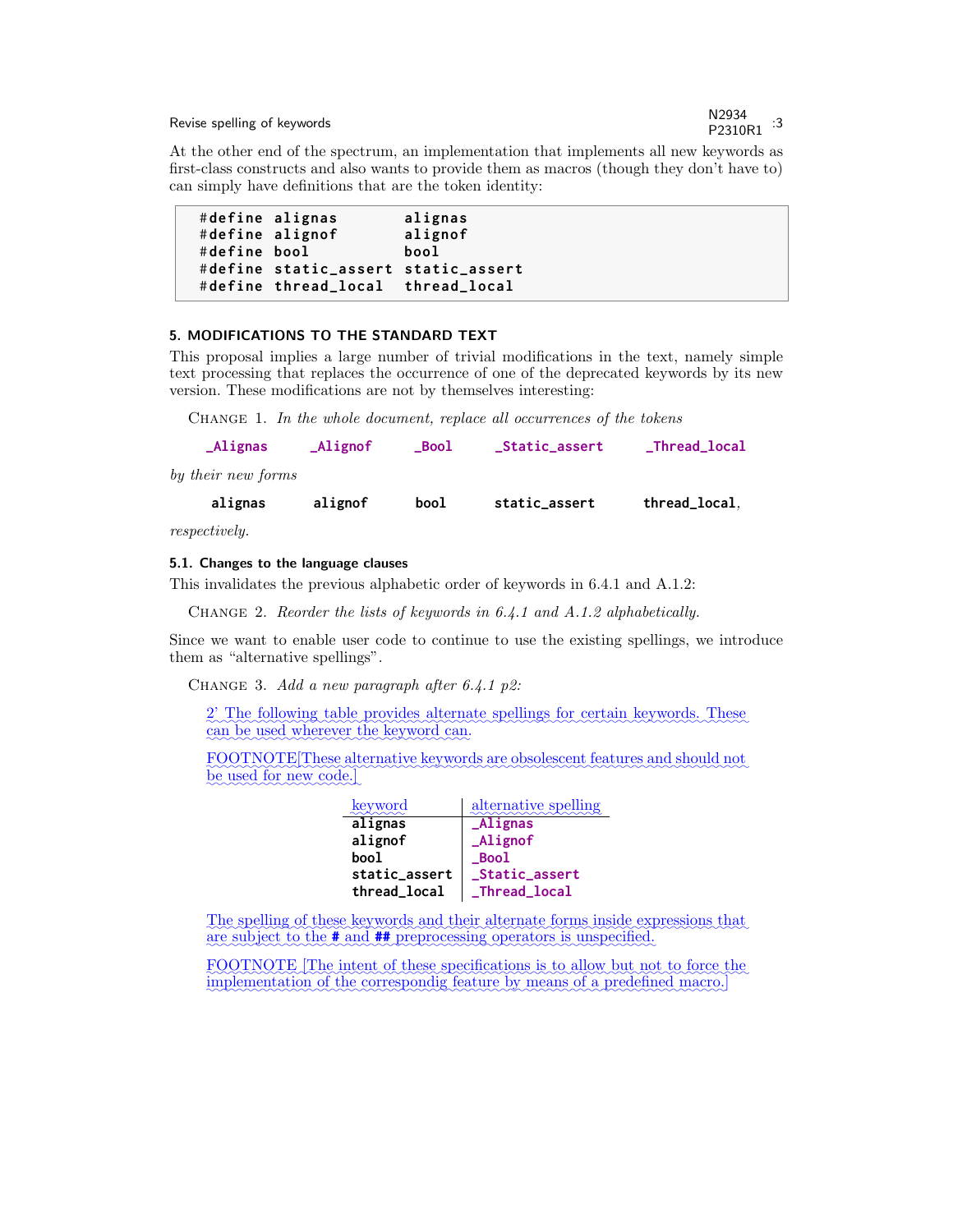P<sub>2310R1</sub> :3

Revise spelling of keywords<br>
Revise spelling of keywords

At the other end of the spectrum, an implementation that implements all new keywords as first-class constructs and also wants to provide them as macros (though they don't have to) can simply have definitions that are the token identity:

| #define alignas |                                     | alignas |
|-----------------|-------------------------------------|---------|
| #define alignof |                                     | alignof |
| #define bool    |                                     | bool    |
|                 | #define static_assert static_assert |         |
|                 | #define thread_local thread_local   |         |

#### 5. MODIFICATIONS TO THE STANDARD TEXT

This proposal implies a large number of trivial modifications in the text, namely simple text processing that replaces the occurrence of one of the deprecated keywords by its new version. These modifications are not by themselves interesting:

CHANGE 1. In the whole document, replace all occurrences of the tokens

| $\Delta$ lignas    | $\mathsf{\Delta l}$ ignof | Bool | _Static_assert | _Thread_local |
|--------------------|---------------------------|------|----------------|---------------|
| by their new forms |                           |      |                |               |
| alignas            | alignof                   | bool | static_assert  | thread_local, |

respectively.

# 5.1. Changes to the language clauses

This invalidates the previous alphabetic order of keywords in 6.4.1 and A.1.2:

CHANGE 2. Reorder the lists of keywords in  $6.4.1$  and  $A.1.2$  alphabetically.

Since we want to enable user code to continue to use the existing spellings, we introduce them as "alternative spellings".

CHANGE 3. Add a new paragraph after  $6.4.1$  p2:

2' The following table provides alternate spellings for certain keywords. These can be used wherever the keyword can.

FOOTNOTE[These alternative keywords are obsolescent features and should not be used for new code.

| keyword       | alternative spelling |
|---------------|----------------------|
| alignas       | <b>_Alignas</b>      |
| alignof       | _Alignof             |
| bool          | <b>Bool</b>          |
| static_assert | _Static_assert       |
| thread_local  | _Thread_local        |

The spelling of these keywords and their alternate forms inside expressions that are subject to the **#** and **##** preprocessing operators is unspecified.

FOOTNOTE The intent of these specifications is to allow but not to force the implementation of the correspondig feature by means of a predefined macro.]